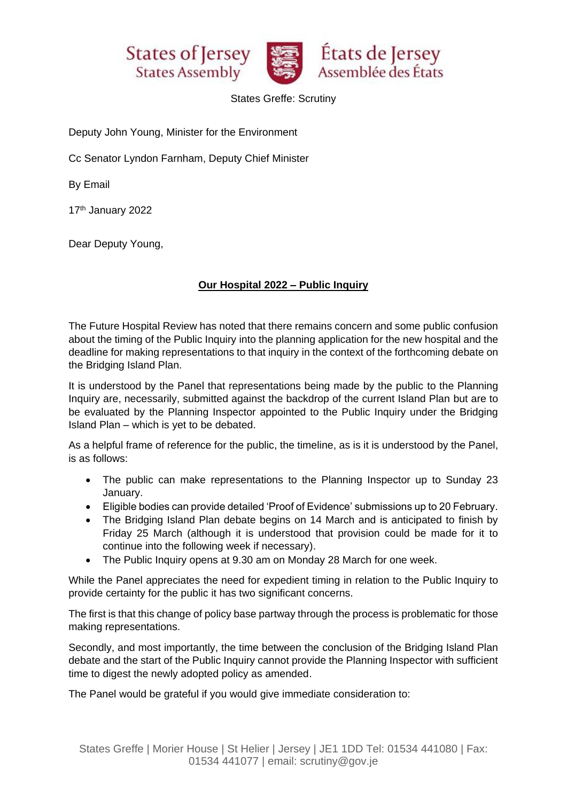





States Greffe: Scrutiny

Deputy John Young, Minister for the Environment

Cc Senator Lyndon Farnham, Deputy Chief Minister

By Email

17th January 2022

Dear Deputy Young,

## **Our Hospital 2022 – Public Inquiry**

The Future Hospital Review has noted that there remains concern and some public confusion about the timing of the Public Inquiry into the planning application for the new hospital and the deadline for making representations to that inquiry in the context of the forthcoming debate on the Bridging Island Plan.

It is understood by the Panel that representations being made by the public to the Planning Inquiry are, necessarily, submitted against the backdrop of the current Island Plan but are to be evaluated by the Planning Inspector appointed to the Public Inquiry under the Bridging Island Plan – which is yet to be debated.

As a helpful frame of reference for the public, the timeline, as is it is understood by the Panel, is as follows:

- The public can make representations to the Planning Inspector up to Sunday 23 January.
- Eligible bodies can provide detailed 'Proof of Evidence' submissions up to 20 February.
- The Bridging Island Plan debate begins on 14 March and is anticipated to finish by Friday 25 March (although it is understood that provision could be made for it to continue into the following week if necessary).
- The Public Inquiry opens at 9.30 am on Monday 28 March for one week.

While the Panel appreciates the need for expedient timing in relation to the Public Inquiry to provide certainty for the public it has two significant concerns.

The first is that this change of policy base partway through the process is problematic for those making representations.

Secondly, and most importantly, the time between the conclusion of the Bridging Island Plan debate and the start of the Public Inquiry cannot provide the Planning Inspector with sufficient time to digest the newly adopted policy as amended.

The Panel would be grateful if you would give immediate consideration to: